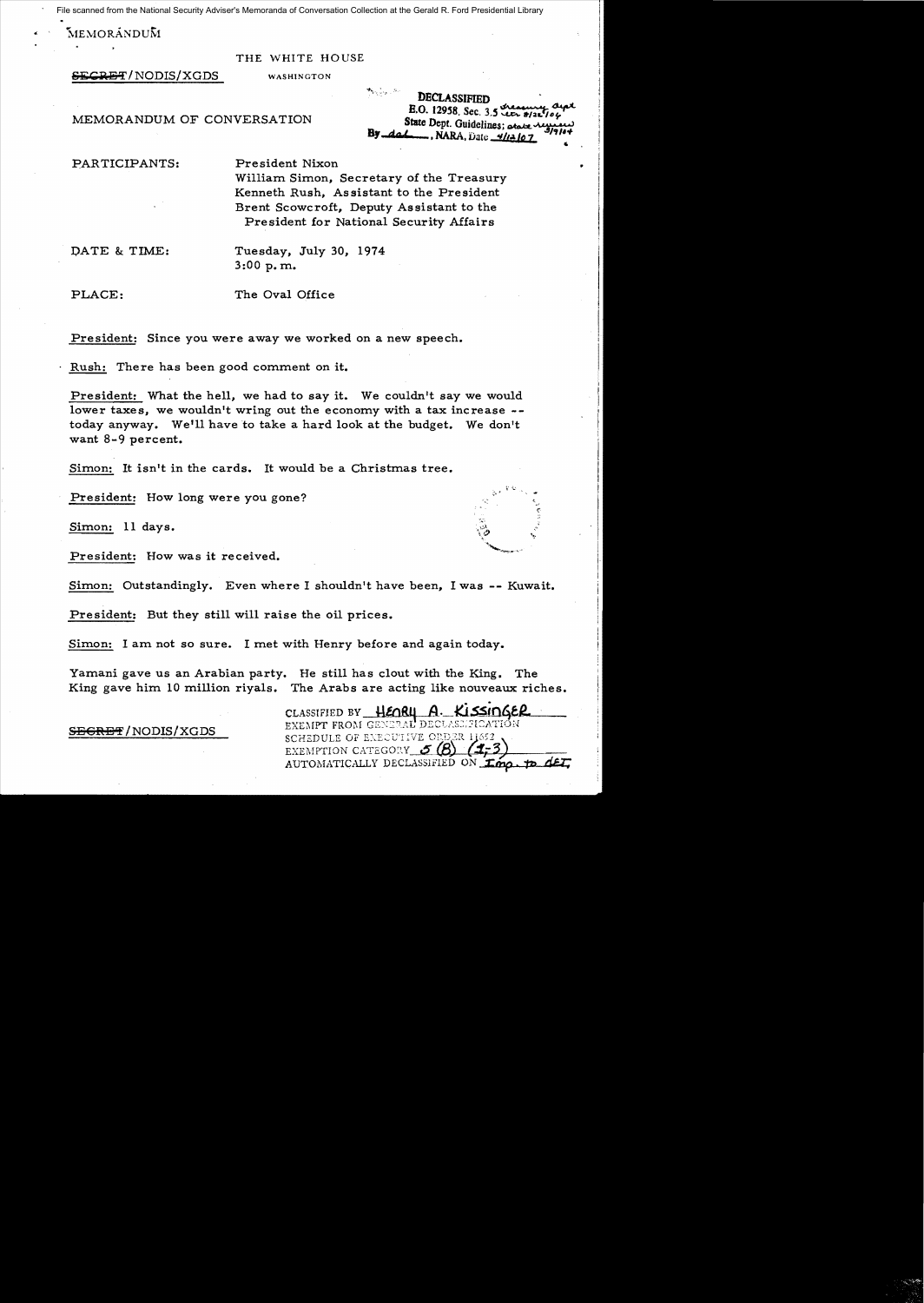File scanned from the National Security Adviser's Memoranda of Conversation Collection at the Gerald R. Ford Presidential Library

 $MEMOR$ ANDU $\bar{M}$ 

#### THE WHITE HOUSE

**SECRET/NODIS/XGDS** WASHINGTON

-+..., ", :"~ DECLASSIFIED<br>E.O. 12958, Sec. 3.5 Lex 8/21 MEMORANDUM OF CONVERSATION State Dept. Guidelines; atalie of By *dat*, NARA, Date *4/12/07* "

PARTICIPANTS: President Nixon

William Simon, Secretary of the Treasury Kenneth Rush, Assistant to the President Brent Scowcroft, Deputy Assistant to the President for National Security Affairs

DATE & TIME: Tuesday, July 30, 1974 3:00 p.m.

PLACE: The Oval Office

President: Since you were away we worked on a new speech.

Rush: There has been good comment on it.

President: What the hell, we had to say it. We couldn't say we would lower taxes, we wouldn't wring out the economy with a tax increase  $-$ today anyway. We'll have to take a hard look at the budget. We don't want 8-9 percent.

Simon: It isn't in the cards. It would be a Christmas tree.

President: How long were you gone?

Simon: 11 days.

President: How was it received.

Simon: Outstandingly. Even where I shouldn't have been, I was -- Kuwait.

President: But they still will raise the oil prices.

Simon: I am not so sure. I met with Henry before and again today.

Yamani gave us an Arabian party. He still has clout with the King. The King gave him 10 million riyals. The Arabs are acting like nouveaux riches.

CLASSIFIED BY HEARY A. KISSINGER<br>EXEMPT FROM GENERAL DECLASSIFICATION<br>SCHEDULE OF EXECUTIVE ORDER 11652 EXEMPTION CATEGORY  $~6$ AUTOMATICALLY DECLASSIFIED ON *fing*. **p**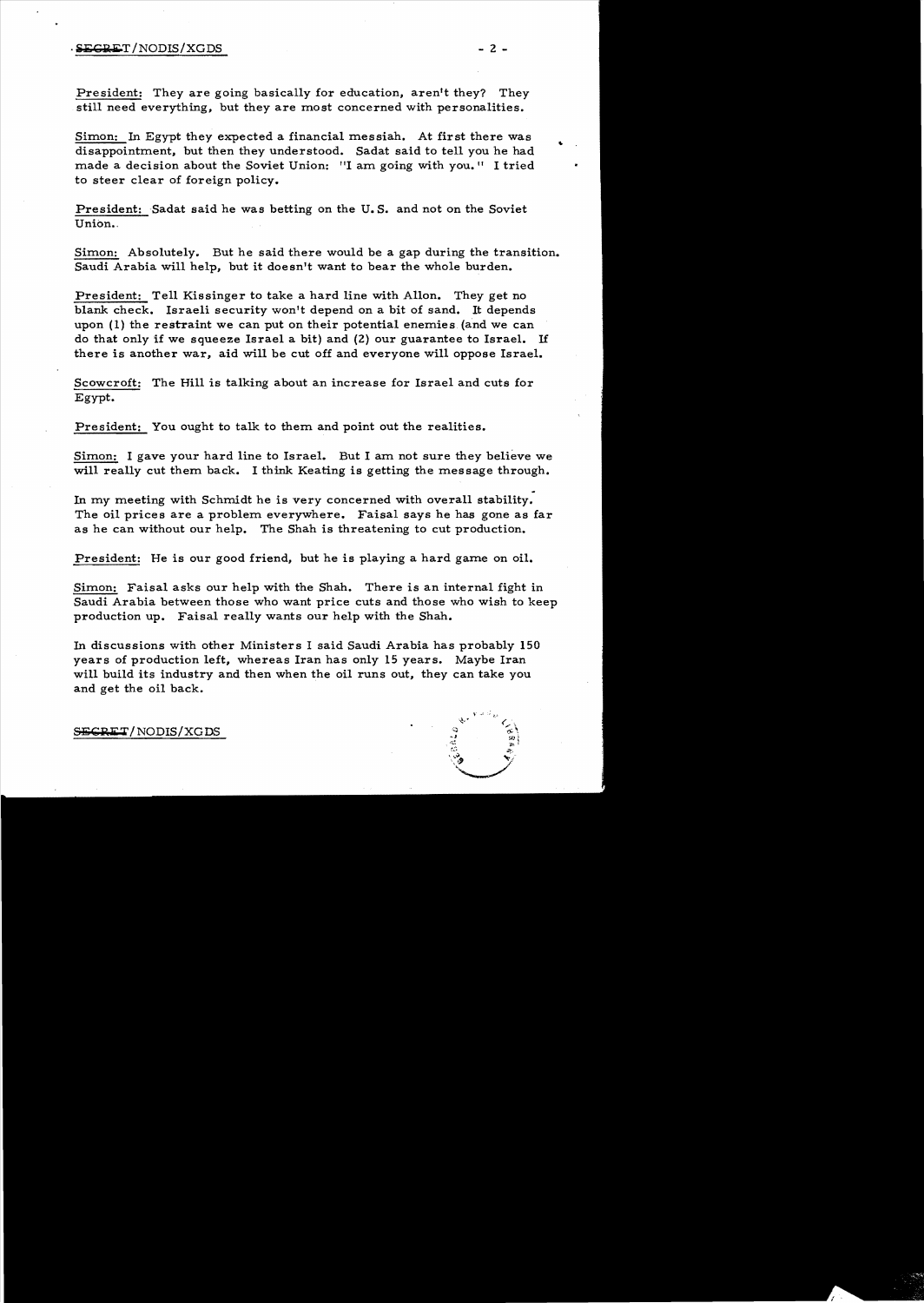# · i:i:C:a:.l' /NODIS/XGDS - 2

President: They are going basically for education, aren't they? They still need everything, but they are most concerned with personalities.

Simon: In Egypt they expected a financial messiah. At first there was disappointment, but then they understood. Sadat said to tell you he had made a decision about the Soviet Union: "I am going with you." I tried to steer clear of foreign policy.

President: Badat said he was betting on the U. S. and not on the Soviet Union..

Simon: Absolutely. But he said there would be a gap during the transition. Saudi Arabia will help, but it doesn't want to bear the whole burden.

President: Tell Kissinger to take a hard line with Allon. They get no blank check. Israeli security won't depend on a bit of sand. It depends upon (1) the restraint we can put on their potential enemies. (and we can do that only if we squeeze Israel a bit) and (2) our guarantee to Israel. If there is another war, aid will be cut off and everyone will oppose Israel.

Scowcroft: The Hill is talking about an increase for Israel and cuts for Egypt.

President: You ought to talk to them and point out the realities.

Simon: I gave your hard line to Israel. But I am not sure they believe we will really cut them back. I think Keating is getting the message through.

In my meeting with Schmidt he is very concerned with overall stability. The oil prices are a problem everywhere. Faisa1 says he has gone as far as he can without our help. The Shah is threatening to cut production.

President: He is our good friend, but he is playing a hard game on oil.

Simon: Faisal asks our help with the Shah. There is an internal fight in Saudi Arabia between those who want price cuts and those who wish to keep production up. Faisa1 really wants our help with the Shah.

In discussions with other Ministers I said Saudi Arabia has probably 150 years of production left, whereas Iran has only 15 years. Maybe Iran will build its industry and then when the oil runs out, they can take you and get the oil back.

SECRET/NODIS/XGDS

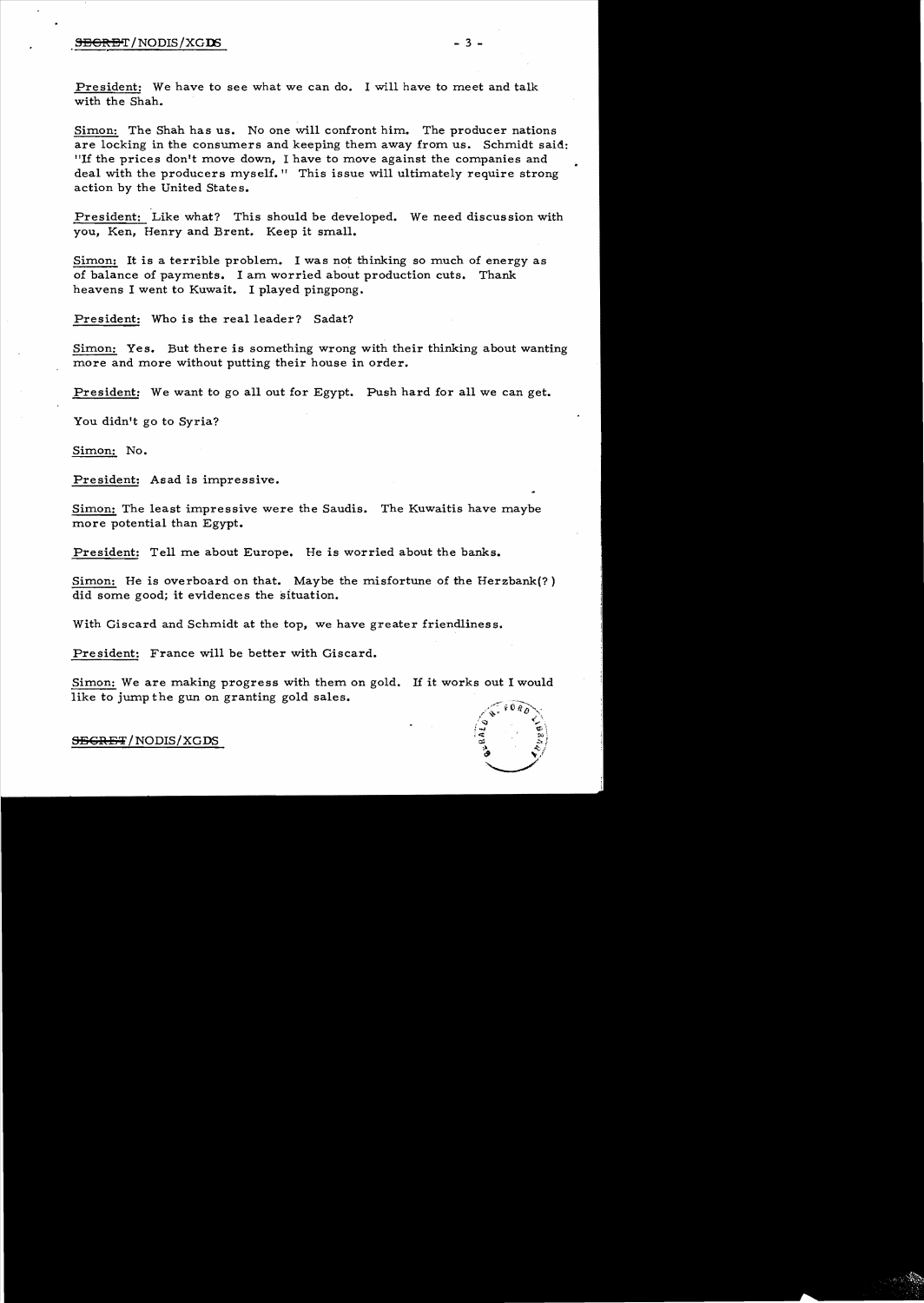# S:!36R:!3'T!NODIS!XGD5 - 3

President: We have to see what we can do. I will have to meet and talk with the Shah.

Simon: The Shah has us. No one will confront him. The producer nations are locking in the consumers and keeping them away from us. Schmidt said: IIIf the prices don't move down, I have to move against the companies and deal with the producers myself." This issue will ultimately require strong action by the United States.

President: Like what? This should be developed. We need discussion with you, Ken, Henry and Brent. Keep it small.

Simon: It is a terrible problem. I was not thinking so much of energy as of balance of payments. I am worried about production cuts. Thank heavens I went to Kuwait. I played pingpong.

President: Who is the real leader? Sadat?

Simon: Yes. But there is something wrong with their thinking about wanting more and more without putting their house in order.

President: We want to go all out for Egypt. Push hard for all we can get.

You didn't go to Syria?

Simon: No.

President: Asad is impressive.

Simon: The least impressive were the Saudis. The Kuwaitis have maybe more potential than Egypt.

President: Tell me about Europe. He is worried about the banks.

Simon: He is overboard on that. Maybe the misfortune of the Herzbank(? ) did some good; it evidences the situation.

With Giscard and Schmidt at the top, we have greater friendliness.

President: France will be better with Giscard.

Simon: We are making progress with them on gold. If it works out I would like to jump the gun on granting gold sales.



S<del>ECRET</del>/NODIS/XGDS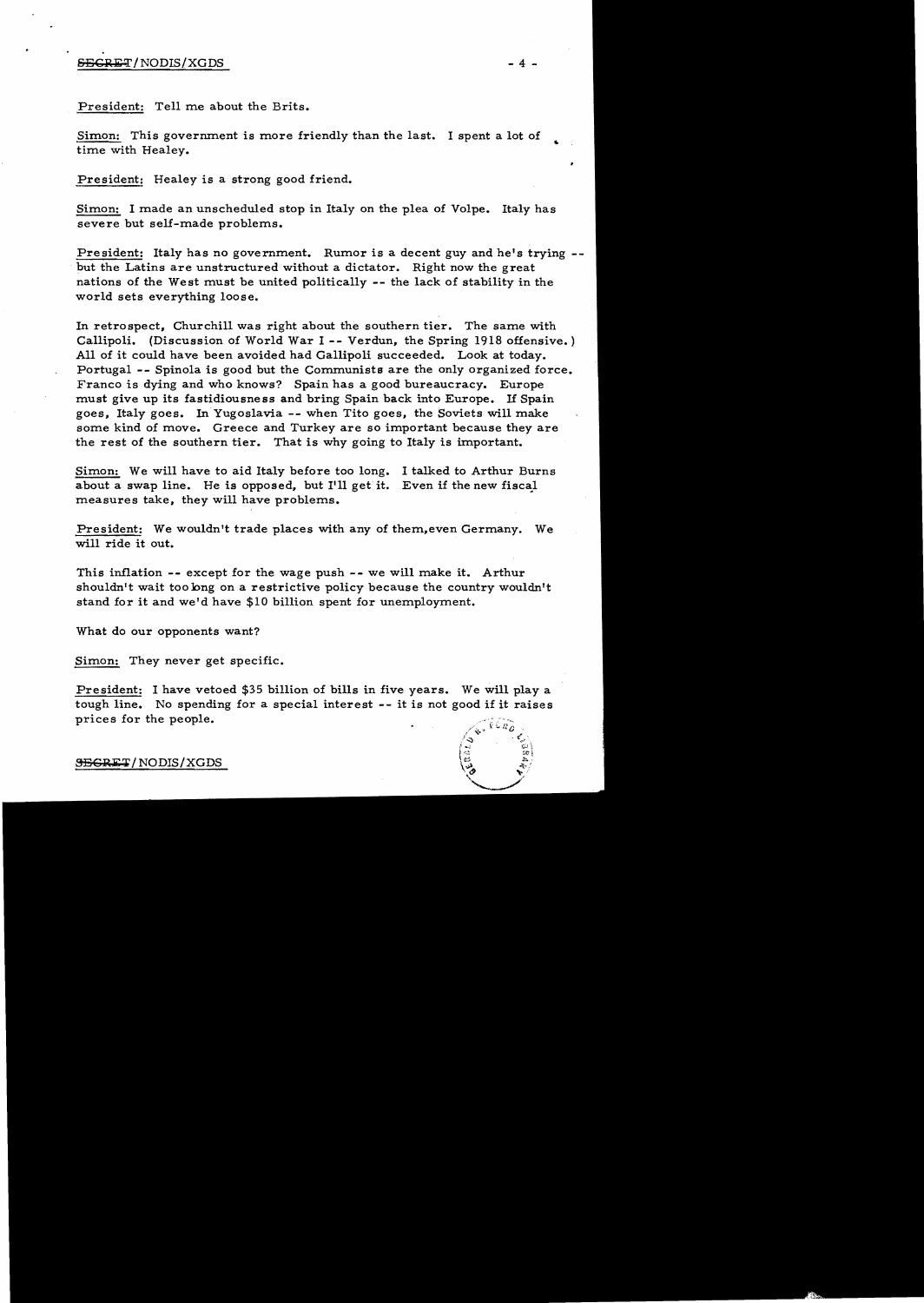### $SESREF/NODIS/XGDS$  - 4 -

President: Tell me about the Brits.

Simon: This government is more friendly than the last. I spent a lot of time with Healey.

President: Healey is a strong good friend.

Simon: I made an unscheduled stop in Italy on the plea of Volpe. Italy has severe but self-made problems.

President: Italy has no government. Rumor is a decent guy and he's trying --. but the Latins are unstructured without a dictator. Right now the great nations of the West must be united politically -- the lack of stability in the world sets everything loose.

In retrospect, Churchill was right about the southern tier. The same with Callipoli. (Discussion of World War I -- Verdun, the Spring 1918 offensive.) All of it could have been avoided had Gallipoli succeeded. Look at today. Portugal -- Spinola is good but the Communists are the only organized force. Franco is dying and who knows? Spain has a good bureaucracy. Europe must give up its fastidiousness and bring Spain back into Europe. If Spain goes, Italy goes. In Yugoslavia -- when Tito goes, the Soviets will make some kind of move. Greece and Turkey are so important because they are the rest of the southern tier. That is why going to Italy is important.

Simon: We will have to aid Italy before too long. I talked to Arthur Burns about a swap line. He is opposed, but I'll get it. Even if the new fiscal measures take, they will have problems.

President: We wouldn't trade places with any of them,even Germany. We will ride it out.

This inflation -- except for the wage push -- we will make it. Arthur shouldn't wait too long on a restrictive policy because the country wouldn't stand for it and we'd have \$10 billion spent for unemployment.

What do our opponents want?

Simon: They never get specific.

President: I have vetoed \$35 billion of bills in five years. We will playa tough line. No spending for a special interest -- it is not good if it raises prices for the people.



S<del>ECRET</del>/NODIS/XGDS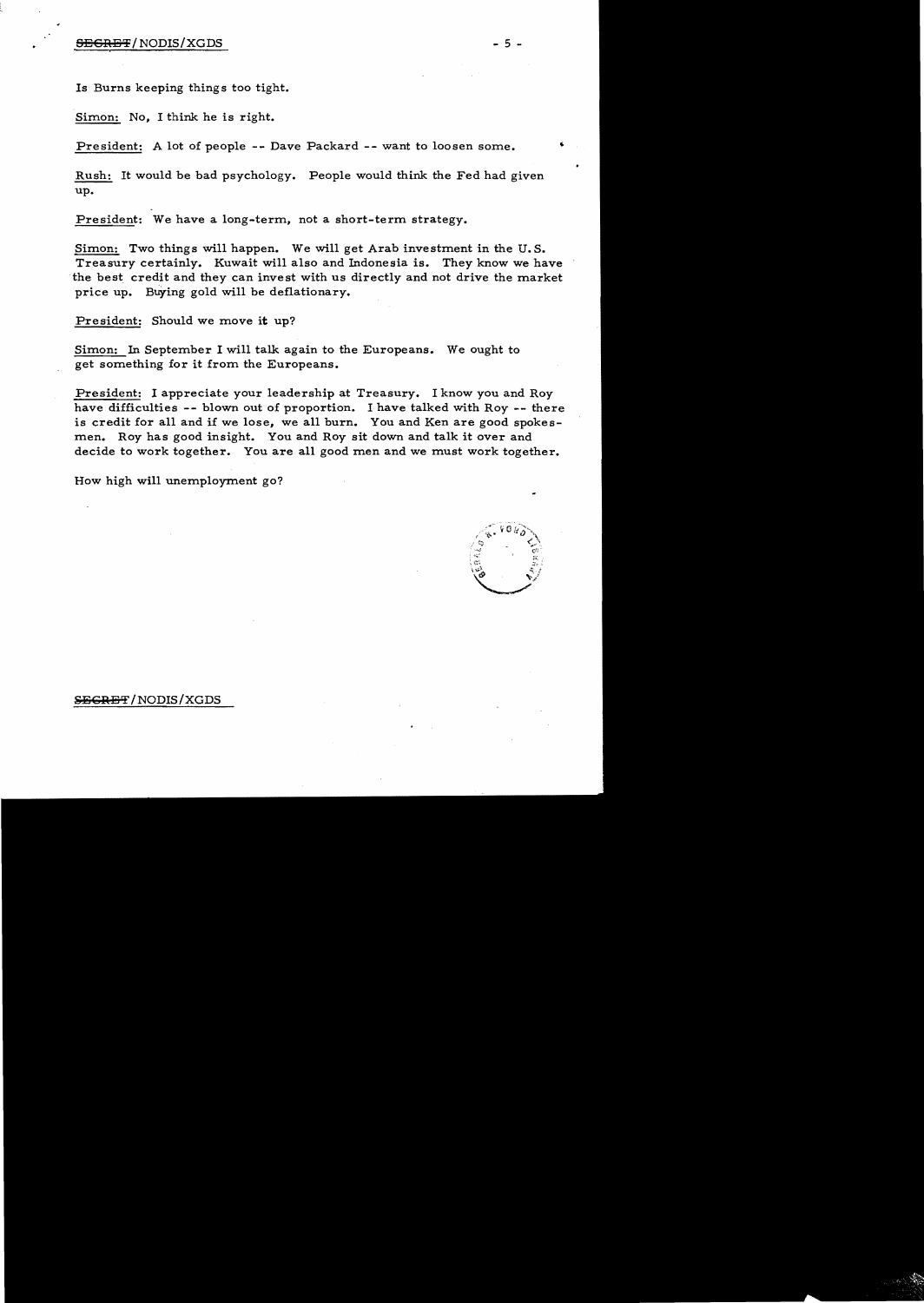# $S$ <del>ecres t</del> / NODIS/XGDS  $-5$  .

Is Burns keeping things too tight.

Simon: No, I think he is right.

President: A lot of people -- Dave Packard -- want to loosen some.

Rush: It would be bad psychology. People would think the Fed had given up.

President: We have a long-term, not a short-term strategy.

Simon: Two things will happen. We will get Arab investment in the U. S. Treasury certainly. Kuwait will also and Indonesia is. They know we have the best credit and they can invest with us directly and not drive the market price up. Buying gold will be deflationary.

President: Should we move it up?

Simon: In September I will talk again to the Europeans. We ought to get something for it from the Europeans.

President: I appreciate your leadership at Treasury. I know you and Roy have difficulties -- blown out of proportion. I have talked with Roy -- there is credit for all and if we lose, we all burn. You and Ken are good spokesmen. Roy has good insight. You and Roy sit down and talk it over and decide to work together. You are all good men and we must work together.

How high will unemployment go?

, ,,," 'U)

#### SEGRET/NODIS/XGDS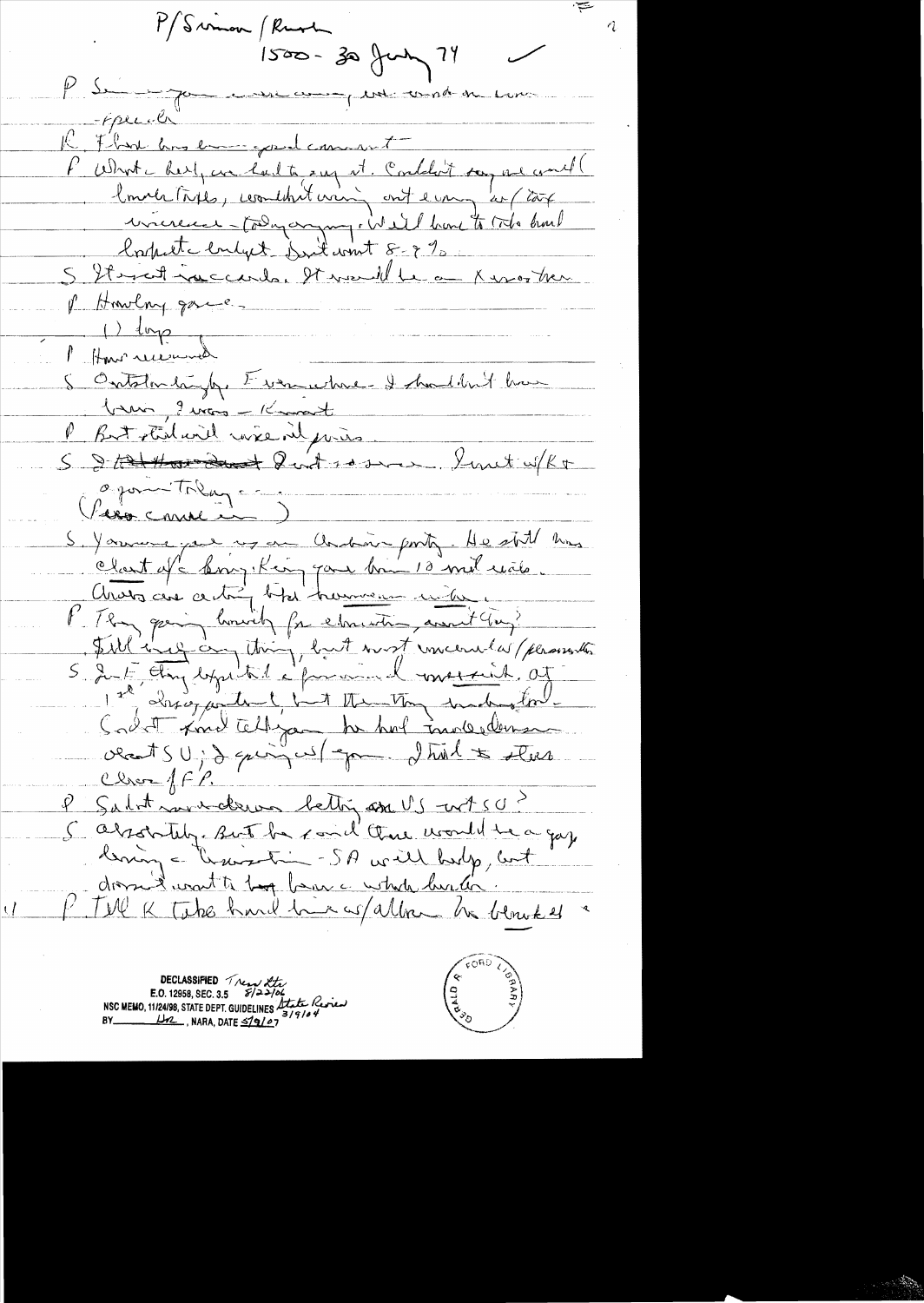P/Sumon / Rush  $1500 - 30$  fun ?  $P S$  - 70 pure und on  $-Fpec.$ Flan ans emmersed comment P What here, are had to say it. Conditions are would lower taxes, coordint was out every de (cook wicece - today anyony, We'll have to toto hard lorpete enlyet suit wint 8-9 % S Itmostiquecards, It would be a King then p Howlay game.  $\rightarrow$  loop Marguera How received<br>Ontstandingly, Evenwhere I hadden't have brain, I was - Knowant But the will wise in pris.  $\psi$ Linet w/kt S & tat thorodant Quit some opon Toly -Vero comme in S. Yournayer us an Ondon porto. He still kins clant of boughting pare bon 10 mil evito Avoir au centre bitainement une me P. They going howith for elementing avant clay? Silling on thing, but wort incerne d'passent Cadat Lond tellige he hal moledeman cleants U ; d quinq us / apron d trial to steer Close ff P. P Salot moderne bettig am US - nt 50 ? 5 absolutely. But he said there would be a gaz.<br>being a train - SA will help, but dome want to be ben a whole his li P. Tell K Take hard him as allow he blowned

DECLASSIFIED Tread Xtr NSC MEMO, 11/24/98, STATE DEPT. GUIDELINES State Review  $1/2$ , NARA, DATE  $\leq$ 19/07

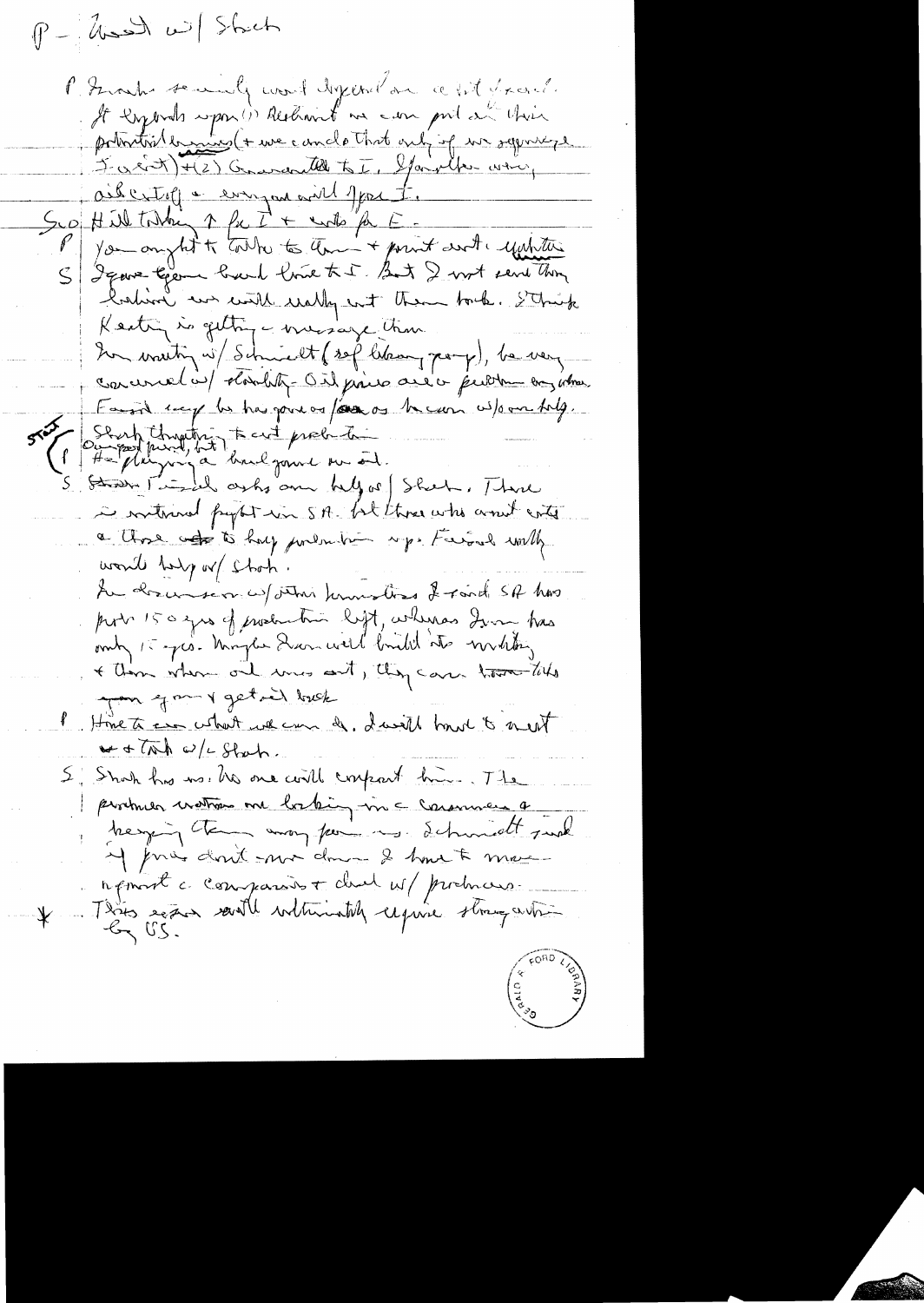$P - |$ and will Shich l'Arabi sommelle word diferrelare a fit france It lyonds upon (i) Restinint me can pril au chin potential bassines (+ use cando that only of we saywhere J- a cit + (2) Conventer to I, Spanalher war Oil citolien europeand part. you anytest to take to them + point and equitar S Jeans terme back lout tre But I wort send them lation we will wally wit them took. Sthink Keatin is getting - message tran her wanting w/ Schwedt (sof lebourg pary), be very concernel in cloudity- Oil fines and a function any whose Family supplies has gone on four or to can us to an toly. Pourfilmetre tailprobite in routerand people was SA. but those who would conte a those of to hay portale up. Ferral with would bely or choch. Au drew served stani knowstras & fait SA hos port 150 grs of production left, whereas Irong has omb 15 pro- Maybe Dann will birth to withting + Then where one were out, they can there tills you gan y get in bush Hime to ever what we can do I will have to meet  $w + \pi h \omega / 2$  State 5. Shoh has us the one will confract him. The producer mathoms one bothing in a consumer a heavy the may feel is detroit make M pries dont mor down 2 hours & more rémart à comparison du M/ probrais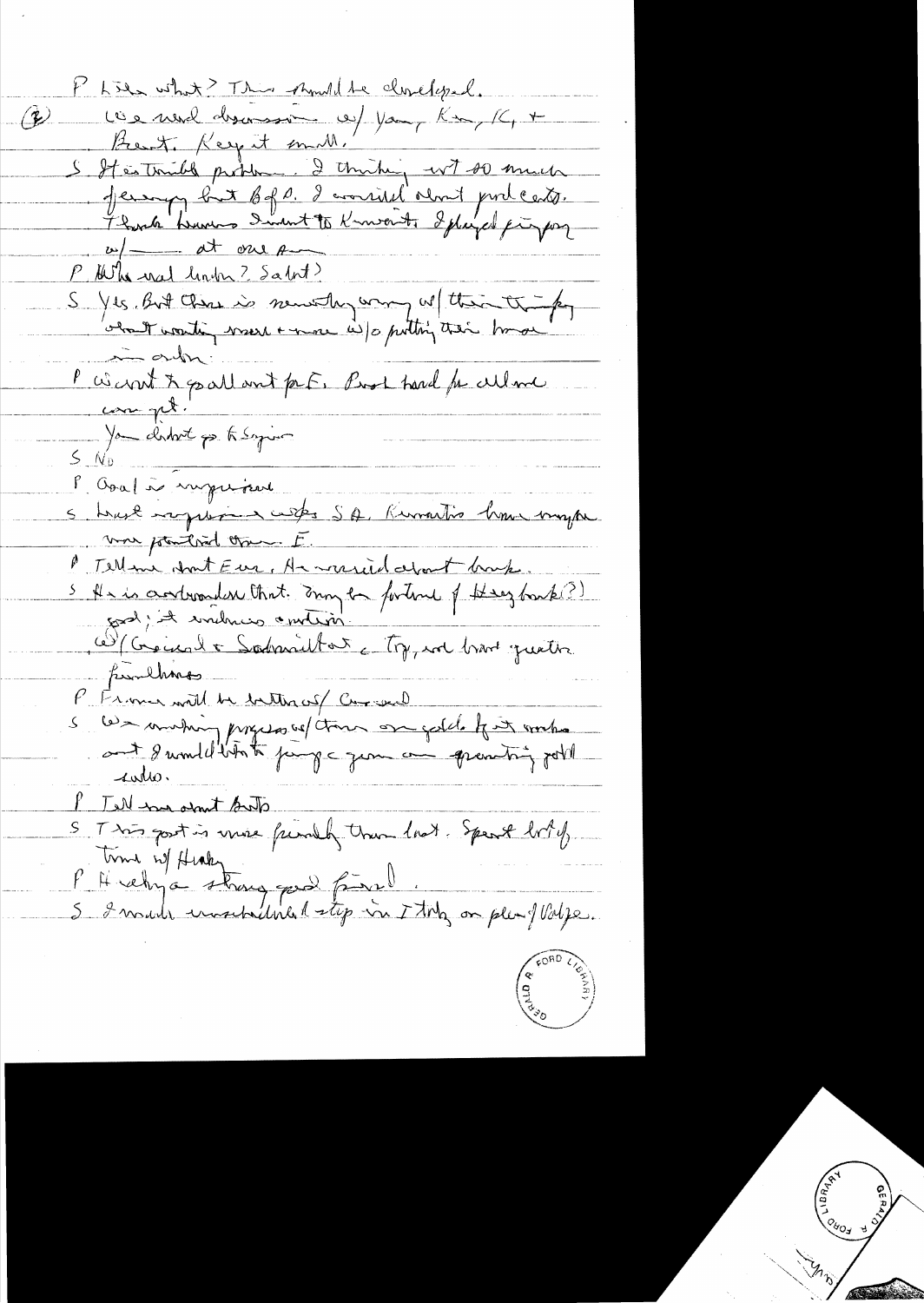1 Lies what? This should be clinelyzed. Q lieu mud discoursion est your Kon, Kt + Bent Key it mill. S It is truly produce 2 thinking wit so much P. Whenal linder ? Salot? S Yes But Chase is newally way we think the for i aubr: P Want & pallant prF. Prol trand for culme S No chat pe tissyin l'Oval à superiant 5 brust raquiment custes SA, Kurmartine home mayon von pointered oran E. P Tell me about Eure, A mericial estant bank.<br>S Als is andromader that: Dany the fortune of Harz book?)<br>S Als is andromader that: Dany the fortune of Harz book?)<br>C Concerned to Sodranielt and comparation.<br>C Common with the Tell hard and let S This gost is vive friendly than look. Spent looky F Hiverby a stangered final. And on plushing.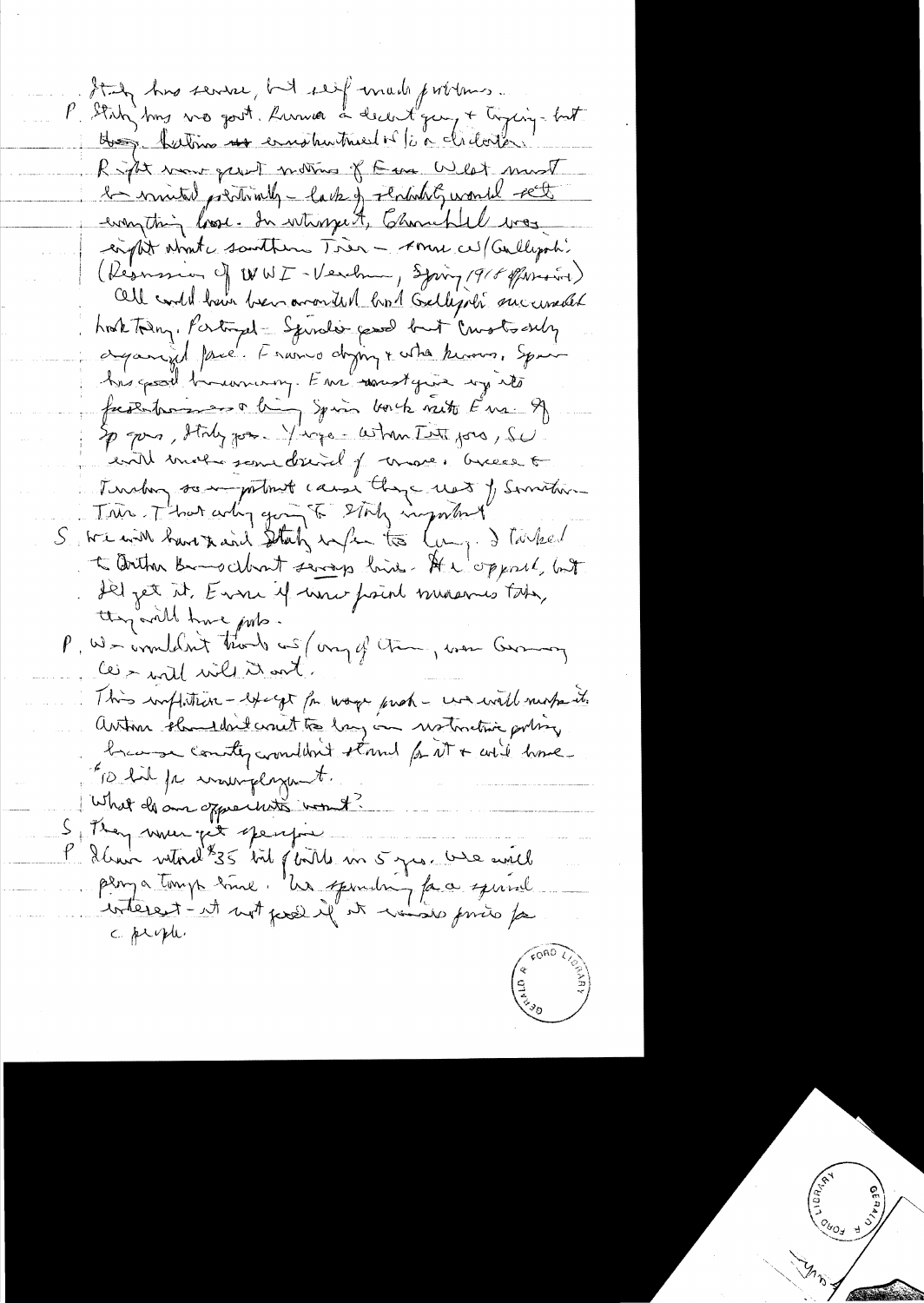It by his service, but seif made problems. P. Statz bins we good hammer a decent guy + tying-but Hus, batimo un emphartment is la cliente Right wave great motions of Eure West must le minuted prédirielly - la 12 j rénéality world rect eight what santherne Très - Amn ces (Cullyon) ( Resman of WWI - Verching , Spring 1918 of Moster Oll could have been arounded bond Gallysoli successible hook today. Portugal - Sprodis cased but Crustes only againsid pare. Franço diginz + who knows, Spain Ans good businary. Em soustgive my its fresentrains a bij sprin borch viert E'us. 9) entil moto some drived of conner, business of Turking something cause they went of Servitive Trin That arting going to story important S we will have to each starty information (may ) Talked to within Broadcout several line. At Nopport, but Il jet it Evri 4 uni point massives tobe, they add time ports. P, W-immediat trouble with my of them, were Germany les - will will it ant. This inflitun - except for wage paroh - we will nearbe it. autom shouldn't count to lang in notwiting porting brange country counter thank for it + will have "TO had for warmplayment. What do an opportunity would Stray music perform P dans vitral<sup>8</sup>35 toil ploite un 5 juin 100 eville plan a tomp time. Un sponding face special c. people.